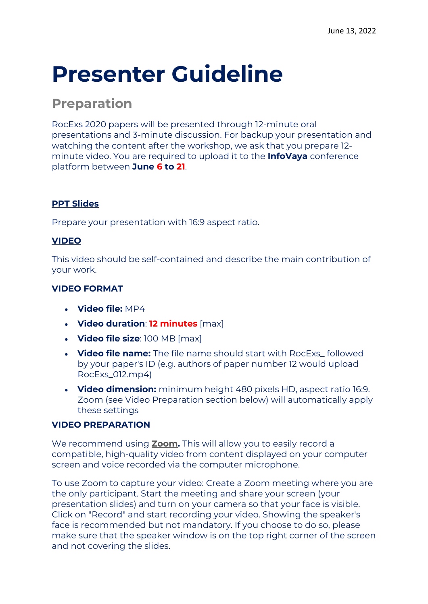# **Presenter Guideline**

### **Preparation**

RocExs 2020 papers will be presented through 12-minute oral presentations and 3-minute discussion. For backup your presentation and watching the content after the workshop, we ask that you prepare 12 minute video. You are required to upload it to the **InfoVaya** conference platform between **June 6 to 21**.

#### **PPT Slides**

Prepare your presentation with 16:9 aspect ratio.

#### **VIDEO**

This video should be self-contained and describe the main contribution of your work.

#### **VIDEO FORMAT**

- **Video file:** MP4
- **Video duration**: **12 minutes** [max]
- **Video file size**: 100 MB [max]
- **Video file name:** The file name should start with RocExs\_ followed by your paper's ID (e.g. authors of paper number 12 would upload RocExs\_012.mp4)
- **Video dimension:** minimum height 480 pixels HD, aspect ratio 16:9. Zoom (see Video Preparation section below) will automatically apply these settings

#### **VIDEO PREPARATION**

We recommend using **[Zoom.](https://zoom.us/)** This will allow you to easily record a compatible, high-quality video from content displayed on your computer screen and voice recorded via the computer microphone.

To use Zoom to capture your video: Create a Zoom meeting where you are the only participant. Start the meeting and share your screen (your presentation slides) and turn on your camera so that your face is visible. Click on "Record" and start recording your video. Showing the speaker's face is recommended but not mandatory. If you choose to do so, please make sure that the speaker window is on the top right corner of the screen and not covering the slides.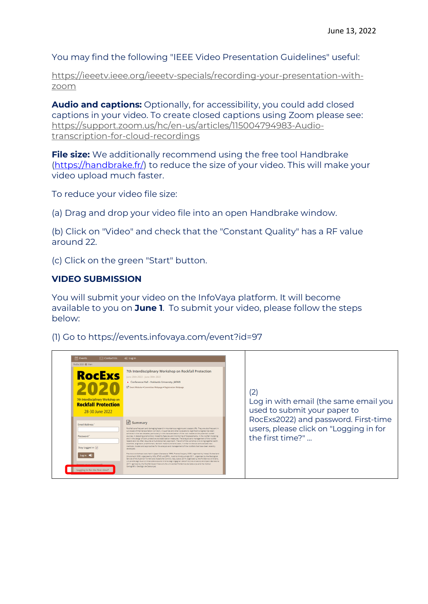You may find the following "IEEE Video Presentation Guidelines" useful:

[https://ieeetv.ieee.org/ieeetv-specials/recording-your-presentation-with](https://ieeetv.ieee.org/ieeetv-specials/recording-your-presentation-with-zoom)[zoom](https://ieeetv.ieee.org/ieeetv-specials/recording-your-presentation-with-zoom)

**Audio and captions:** Optionally, for accessibility, you could add closed captions in your video. To create closed captions using Zoom please see: [https://support.zoom.us/hc/en-us/articles/115004794983-Audio](https://www.icra2022.org/contribute/logos-templates)[transcription-for-cloud-recordings](https://www.icra2022.org/contribute/logos-templates)

**File size:** We additionally recommend using the free tool Handbrake [\(https://handbrake.fr/\)](https://handbrake.fr/) to reduce the size of your video. This will make your video upload much faster.

To reduce your video file size:

(a) Drag and drop your video file into an open Handbrake window.

(b) Click on "Video" and check that the "Constant Quality" has a RF value around 22.

(c) Click on the green "Start" button.

#### **VIDEO SUBMISSION**

You will submit your video on the InfoVaya platform. It will become available to you on **June 1**. To submit your video, please follow the steps below:

(1) Go to https://events.infovaya.com/event?id=97

| <b>Events</b>                                                                                                                     | $\boxdot$ Contact Us                                                                                | $\Rightarrow$ Log in                                                                                                                                                                                                                                                                                                                                                                                                                                                                                                                                                                                                                                                                                                                                                                                                                                                                                                                                                                                                                                                                                                                                                                                                                                                                                                                                                                                                                                                                                                                                                                                  |                                                                                                    |                                                                            |
|-----------------------------------------------------------------------------------------------------------------------------------|-----------------------------------------------------------------------------------------------------|-------------------------------------------------------------------------------------------------------------------------------------------------------------------------------------------------------------------------------------------------------------------------------------------------------------------------------------------------------------------------------------------------------------------------------------------------------------------------------------------------------------------------------------------------------------------------------------------------------------------------------------------------------------------------------------------------------------------------------------------------------------------------------------------------------------------------------------------------------------------------------------------------------------------------------------------------------------------------------------------------------------------------------------------------------------------------------------------------------------------------------------------------------------------------------------------------------------------------------------------------------------------------------------------------------------------------------------------------------------------------------------------------------------------------------------------------------------------------------------------------------------------------------------------------------------------------------------------------------|----------------------------------------------------------------------------------------------------|----------------------------------------------------------------------------|
| RocExs 2020 @ Main                                                                                                                |                                                                                                     |                                                                                                                                                                                                                                                                                                                                                                                                                                                                                                                                                                                                                                                                                                                                                                                                                                                                                                                                                                                                                                                                                                                                                                                                                                                                                                                                                                                                                                                                                                                                                                                                       |                                                                                                    |                                                                            |
|                                                                                                                                   | <b>RocExs</b><br>7th Interdisciplinary Workshop on<br><b>Rockfall Protection</b><br>28-30 June 2022 | 7th Interdisciplinary Workshop on Rockfall Protection<br>June 28th 2022 - June 30th 2022<br>• Conference Hall - Hokkaido University, JAPAN<br>[2] Event Website . Committee Webpage . Registration Webpage                                                                                                                                                                                                                                                                                                                                                                                                                                                                                                                                                                                                                                                                                                                                                                                                                                                                                                                                                                                                                                                                                                                                                                                                                                                                                                                                                                                            |                                                                                                    | 2<br>Log in with email (the same email you<br>used to submit your paper to |
| <b>Email Address</b><br>Password<br>Stay Logged in $\boxed{\checkmark}$<br>Log in $\Rightarrow$<br>Logging in for the first time? |                                                                                                     | $\equiv$ Summary<br>Rockfalls are frequent and damaging hazard in mountainous regions and coastal cliffs. They are also frequent in<br>cut slopes of the transportation corridors, in quarries and other excavations. Significant progress has been<br>achieved in the last decades, particularly in the characterization of the rock masses at the potential rockfall<br>sources, in detecting premonitory instability features and monitoring of displacements, in the rockfall modeling<br>and in the design of both protective and stabilization measures. The analysis and management of the rockfall<br>hazard and risk often regulres a multidisciplinary approach. The aim of the workshop is to bring together earth<br>scientists, engineers, practitioners, decision makers and end-users, in order to discuss and evaluate new<br>methods, models and approaches for the analysis and management of the rockfalls that have been recently<br>developed.<br>Previous workshops were held in Japan (Kanazawa 1999), France (Vaujany 2005, organized by Irstea), Switzerland<br>(Morschach 2008, organised by WSL, ETHZ und EPFL), Austria (Innsbruck-Igls 2011, organized by the Geological<br>Service of the Austrian Torrent and Avalanche Control), Italy (Lecco 2014, organized by the Politecnico di Milano,<br>Università degli Studi di Milano-Bicocca and Ordine degli Ingegneri della Provincia di Lecco) and Spain (Barcelona<br>2017, reanized by the Rockfall Expert Network the Universitet Politecnica de Catalunya and the Institut<br>Cartogràfic i Geològic de Catalunya). | RocExs2022) and password. First-time<br>users, please click on "Logging in for<br>the first time?" |                                                                            |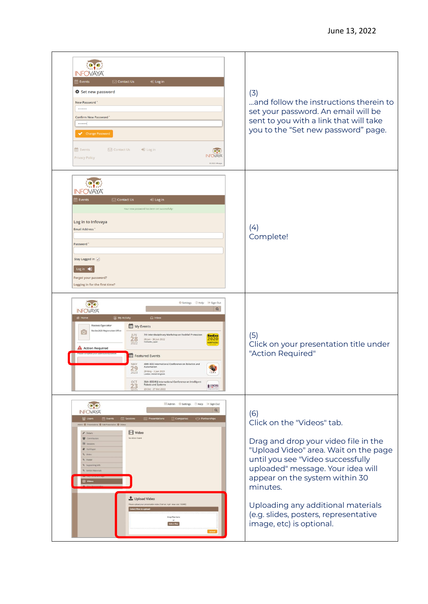| INF(JVAY)<br>$\boxdot$ Contact Us<br>D Log in<br><b>Events</b><br><b><math>\clubsuit</math></b> Set new password<br>New Password*<br><br><b>Confirm New Password</b><br><br>Change Password<br>the Events<br>$\boxdot$ Contact Us<br>$\bigtriangledown$ Log in<br>lo,o<br><b>INFOVAYA</b><br><b>Privacy Policy</b><br>@ 2022 Infovaya                                                                                                                                                                                                                                                                                                                                                                          | (3)<br>and follow the instructions therein to<br>set your password. An email will be<br>sent to you with a link that will take<br>you to the "Set new password" page.                                                                                                                                                                                 |
|----------------------------------------------------------------------------------------------------------------------------------------------------------------------------------------------------------------------------------------------------------------------------------------------------------------------------------------------------------------------------------------------------------------------------------------------------------------------------------------------------------------------------------------------------------------------------------------------------------------------------------------------------------------------------------------------------------------|-------------------------------------------------------------------------------------------------------------------------------------------------------------------------------------------------------------------------------------------------------------------------------------------------------------------------------------------------------|
| NFOVA<br>$\boxdot$ Contact Us<br>Events<br>D Log in<br>Your new password has been set successfully!<br>Log in to Infovaya<br><b>Email Address</b><br>Password <sup>*</sup><br>Stay Logged in ☑<br>Log in 1<br>Forgot your password?<br>Logging in for the first time?                                                                                                                                                                                                                                                                                                                                                                                                                                          | (4)<br>Complete!                                                                                                                                                                                                                                                                                                                                      |
| Settings @ Help <sup>b</sup> Sign Out<br>$\bullet$ .<br>$\alpha$<br><b>INFOVAYA</b><br>备 Home<br><sup>O</sup> My Activity<br>$\Box$ Inbox<br><b>Rocexs Operator</b><br>My Events<br>RocExs2020 Registration Office<br><b>JUN</b><br>7th Interdisciplinary Workshop on Rockfall Protection<br><b>RocExs</b><br>$\frac{28}{2022}$<br>28 Jun - 30 Jun 2022<br>2020<br><b>A</b> Action Required<br>Featured Events<br>40th IEEE International Conference on Robotics and<br>MAY<br>Automation<br>29<br>29 May - 3 Jun 2023<br>London, United Kingdom<br>2023<br>35th IEEE/RSI International Conference on Intelligent<br>OCT<br>Robots and Systems<br>$\frac{1}{2}$ in $\frac{1}{2}$<br>23<br>23 Oct - 27 Oct 2022 | (5)<br>Click on your presentation title under<br>"Action Required"                                                                                                                                                                                                                                                                                    |
| Elli Admin C Settings THelp + Sign Out<br>$\bullet$<br>$\alpha$<br><b>INFOVAYA</b><br>Sessions<br><b>Presentations</b> Companies<br>월 Users<br><b>Events</b><br><b>SI Partnerships</b><br>Admin @ Presentations @ Edit Presentation @ Videos<br>Video<br><b><i>P</i></b> Details<br>No videos found<br>警 Contributors<br>Sessions<br><b>B</b> Full Paper<br><sup>Q</sup> Slides<br><b>b</b> Poster<br><sup>8</sup> Supporting Info<br><sup>%</sup> Exhibit Materials<br><b>El</b> videos<br>Upload Video<br>Please upload your presentation video (Format: mp4 - max size: 150MB)<br>Select files to upload<br><b>Orop files her</b>                                                                           | (6)<br>Click on the "Videos" tab.<br>Drag and drop your video file in the<br>"Upload Video" area. Wait on the page<br>until you see "Video successfully<br>uploaded" message. Your idea will<br>appear on the system within 30<br>minutes.<br>Uploading any additional materials<br>(e.g. slides, posters, representative<br>image, etc) is optional. |